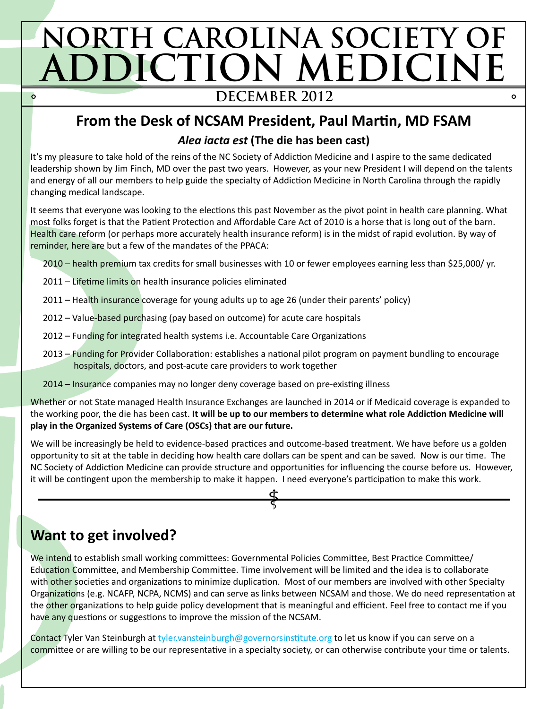# **NORTH CAROLINA SOCIETY OF ADDICTION MEDICINE**  $\dot{\mathbf{o}}$

#### **DECEMBER 2012**

#### **From the Desk of NCSAM President, Paul Martin, MD FSAM**

#### *Alea iacta est* **(The die has been cast)**

It's my pleasure to take hold of the reins of the NC Society of Addiction Medicine and I aspire to the same dedicated leadership shown by Jim Finch, MD over the past two years. However, as your new President I will depend on the talents and energy of all our members to help guide the specialty of Addiction Medicine in North Carolina through the rapidly changing medical landscape.

It seems that everyone was looking to the elections this past November as the pivot point in health care planning. What most folks forget is that the Patient Protection and Affordable Care Act of 2010 is a horse that is long out of the barn. Health care reform (or perhaps more accurately health insurance reform) is in the midst of rapid evolution. By way of reminder, here are but a few of the mandates of the PPACA:

- 2010 health premium tax credits for small businesses with 10 or fewer employees earning less than \$25,000/ yr.
- 2011 Lifetime limits on health insurance policies eliminated
- 2011 Health insurance coverage for young adults up to age 26 (under their parents' policy)
- 2012 Value-based purchasing (pay based on outcome) for acute care hospitals
- 2012 Funding for integrated health systems i.e. Accountable Care Organizations
- 2013 Funding for Provider Collaboration: establishes a national pilot program on payment bundling to encourage hospitals, doctors, and post-acute care providers to work together
- 2014 Insurance companies may no longer deny coverage based on pre-existing illness

Whether or not State managed Health Insurance Exchanges are launched in 2014 or if Medicaid coverage is expanded to the working poor, the die has been cast. **It will be up to our members to determine what role Addiction Medicine will play in the Organized Systems of Care (OSCs) that are our future.**

We will be increasingly be held to evidence-based practices and outcome-based treatment. We have before us a golden opportunity to sit at the table in deciding how health care dollars can be spent and can be saved. Now is our time. The NC Society of Addiction Medicine can provide structure and opportunities for influencing the course before us. However, it will be contingent upon the membership to make it happen. I need everyone's participation to make this work.

## **Want to get involved?**

We intend to establish small working committees: Governmental Policies Committee, Best Practice Committee/ Education Committee, and Membership Committee. Time involvement will be limited and the idea is to collaborate with other societies and organizations to minimize duplication. Most of our members are involved with other Specialty Organizations (e.g. NCAFP, NCPA, NCMS) and can serve as links between NCSAM and those. We do need representation at the other organizations to help guide policy development that is meaningful and efficient. Feel free to contact me if you have any questions or suggestions to improve the mission of the NCSAM.

Contact Tyler Van Steinburgh at [tyler.vansteinburgh@governorsinstitute.org](mailto:tyler.vansteinburgh@governorsinstitute.org) to let us know if you can serve on a committee or are willing to be our representative in a specialty society, or can otherwise contribute your time or talents.